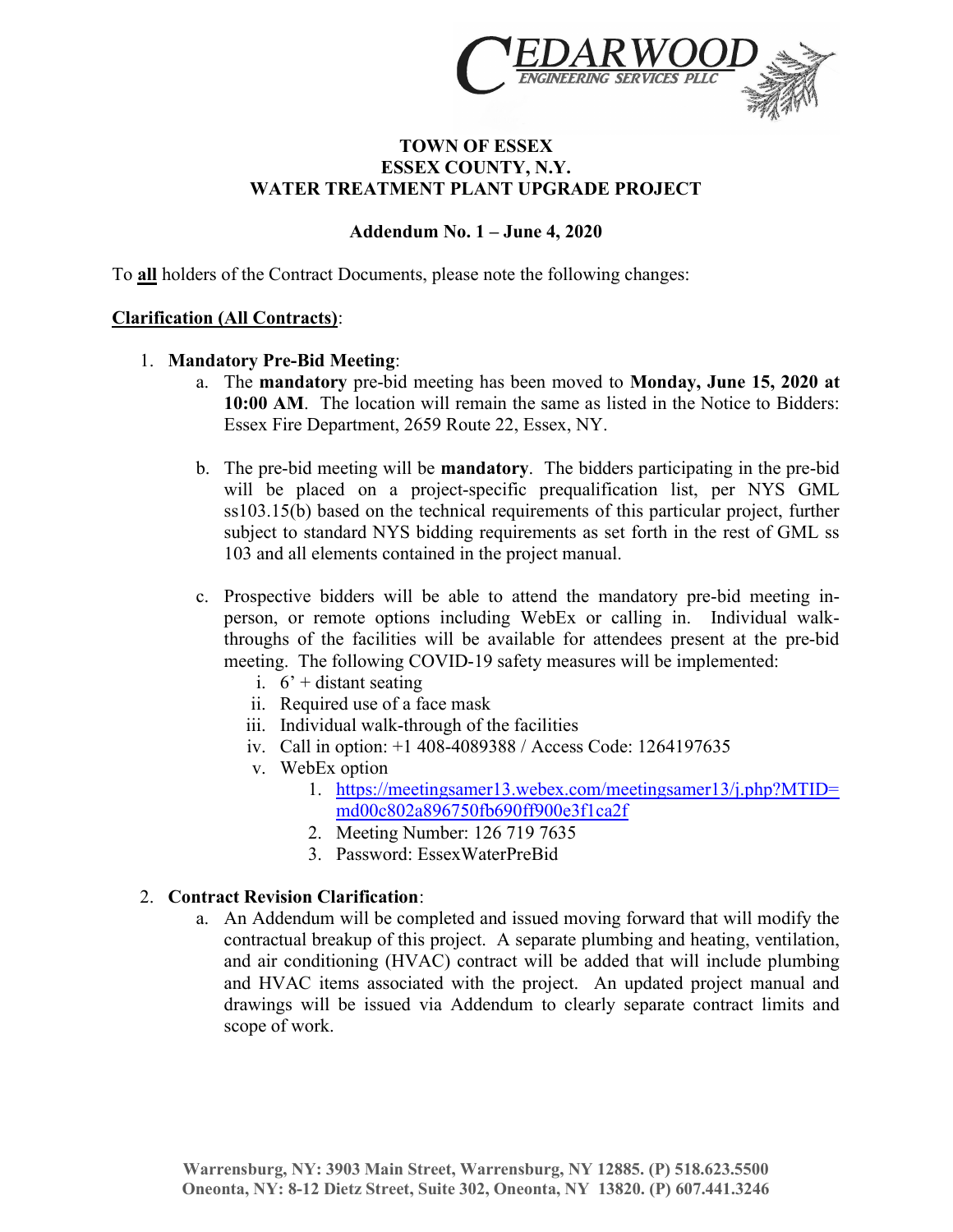

## TOWN OF ESSEX ESSEX COUNTY, N.Y. WATER TREATMENT PLANT UPGRADE PROJECT

## Addendum No. 1 – June 4, 2020

To all holders of the Contract Documents, please note the following changes:

## Clarification (All Contracts):

- 1. Mandatory Pre-Bid Meeting:
	- a. The mandatory pre-bid meeting has been moved to Monday, June 15, 2020 at 10:00 AM. The location will remain the same as listed in the Notice to Bidders: Essex Fire Department, 2659 Route 22, Essex, NY.
	- b. The pre-bid meeting will be mandatory. The bidders participating in the pre-bid will be placed on a project-specific prequalification list, per NYS GML ss103.15(b) based on the technical requirements of this particular project, further subject to standard NYS bidding requirements as set forth in the rest of GML ss 103 and all elements contained in the project manual.
	- c. Prospective bidders will be able to attend the mandatory pre-bid meeting inperson, or remote options including WebEx or calling in. Individual walkthroughs of the facilities will be available for attendees present at the pre-bid meeting. The following COVID-19 safety measures will be implemented:
		- i.  $6'$  + distant seating
		- ii. Required use of a face mask
		- iii. Individual walk-through of the facilities
		- iv. Call in option: +1 408-4089388 / Access Code: 1264197635
		- v. WebEx option
			- 1. https://meetingsamer13.webex.com/meetingsamer13/j.php?MTID= md00c802a896750fb690ff900e3f1ca2f
			- 2. Meeting Number: 126 719 7635
			- 3. Password: EssexWaterPreBid

## 2. Contract Revision Clarification:

a. An Addendum will be completed and issued moving forward that will modify the contractual breakup of this project. A separate plumbing and heating, ventilation, and air conditioning (HVAC) contract will be added that will include plumbing and HVAC items associated with the project. An updated project manual and drawings will be issued via Addendum to clearly separate contract limits and scope of work.